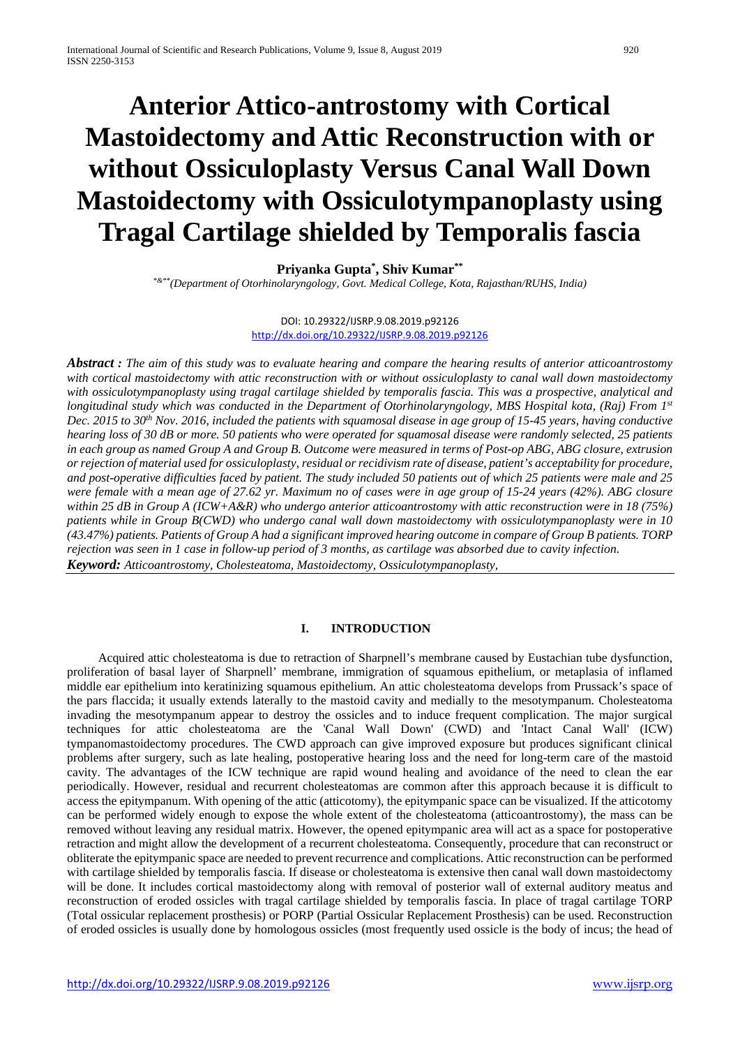# **Anterior Attico-antrostomy with Cortical Mastoidectomy and Attic Reconstruction with or without Ossiculoplasty Versus Canal Wall Down Mastoidectomy with Ossiculotympanoplasty using Tragal Cartilage shielded by Temporalis fascia**

# **Priyanka Gupta\* , Shiv Kumar\*\***

*\*&\*\*(Department of Otorhinolaryngology, Govt. Medical College, Kota, Rajasthan/RUHS, India)*

#### DOI: 10.29322/IJSRP.9.08.2019.p92126 <http://dx.doi.org/10.29322/IJSRP.9.08.2019.p92126>

*Abstract : The aim of this study was to evaluate hearing and compare the hearing results of anterior atticoantrostomy with cortical mastoidectomy with attic reconstruction with or without ossiculoplasty to canal wall down mastoidectomy with ossiculotympanoplasty using tragal cartilage shielded by temporalis fascia. This was a prospective, analytical and longitudinal study which was conducted in the Department of Otorhinolaryngology, MBS Hospital kota, (Raj) From 1st Dec. 2015 to 30th Nov. 2016, included the patients with squamosal disease in age group of 15-45 years, having conductive hearing loss of 30 dB or more. 50 patients who were operated for squamosal disease were randomly selected, 25 patients in each group as named Group A and Group B. Outcome were measured in terms of Post-op ABG, ABG closure, extrusion or rejection of material used for ossiculoplasty, residual or recidivism rate of disease, patient's acceptability for procedure, and post-operative difficulties faced by patient. The study included 50 patients out of which 25 patients were male and 25 were female with a mean age of 27.62 yr. Maximum no of cases were in age group of 15-24 years (42%). ABG closure within 25 dB in Group A (ICW+A&R) who undergo anterior atticoantrostomy with attic reconstruction were in 18 (75%) patients while in Group B(CWD) who undergo canal wall down mastoidectomy with ossiculotympanoplasty were in 10 (43.47%) patients. Patients of Group A had a significant improved hearing outcome in compare of Group B patients. TORP rejection was seen in 1 case in follow-up period of 3 months, as cartilage was absorbed due to cavity infection. Keyword: Atticoantrostomy, Cholesteatoma, Mastoidectomy, Ossiculotympanoplasty,* 

# **I. INTRODUCTION**

 Acquired attic cholesteatoma is due to retraction of Sharpnell's membrane caused by Eustachian tube dysfunction, proliferation of basal layer of Sharpnell' membrane, immigration of squamous epithelium, or metaplasia of inflamed middle ear epithelium into keratinizing squamous epithelium. An attic cholesteatoma develops from Prussack's space of the pars flaccida; it usually extends laterally to the mastoid cavity and medially to the mesotympanum. Cholesteatoma invading the mesotympanum appear to destroy the ossicles and to induce frequent complication. The major surgical techniques for attic cholesteatoma are the 'Canal Wall Down' (CWD) and 'Intact Canal Wall' (ICW) tympanomastoidectomy procedures. The CWD approach can give improved exposure but produces significant clinical problems after surgery, such as late healing, postoperative hearing loss and the need for long-term care of the mastoid cavity. The advantages of the ICW technique are rapid wound healing and avoidance of the need to clean the ear periodically. However, residual and recurrent cholesteatomas are common after this approach because it is difficult to access the epitympanum. With opening of the attic (atticotomy), the epitympanic space can be visualized. If the atticotomy can be performed widely enough to expose the whole extent of the cholesteatoma (atticoantrostomy), the mass can be removed without leaving any residual matrix. However, the opened epitympanic area will act as a space for postoperative retraction and might allow the development of a recurrent cholesteatoma. Consequently, procedure that can reconstruct or obliterate the epitympanic space are needed to prevent recurrence and complications. Attic reconstruction can be performed with cartilage shielded by temporalis fascia. If disease or cholesteatoma is extensive then canal wall down mastoidectomy will be done. It includes cortical mastoidectomy along with removal of posterior wall of external auditory meatus and reconstruction of eroded ossicles with tragal cartilage shielded by temporalis fascia. In place of tragal cartilage TORP (Total ossicular replacement prosthesis) or PORP (Partial Ossicular Replacement Prosthesis) can be used. Reconstruction of eroded ossicles is usually done by homologous ossicles (most frequently used ossicle is the body of incus; the head of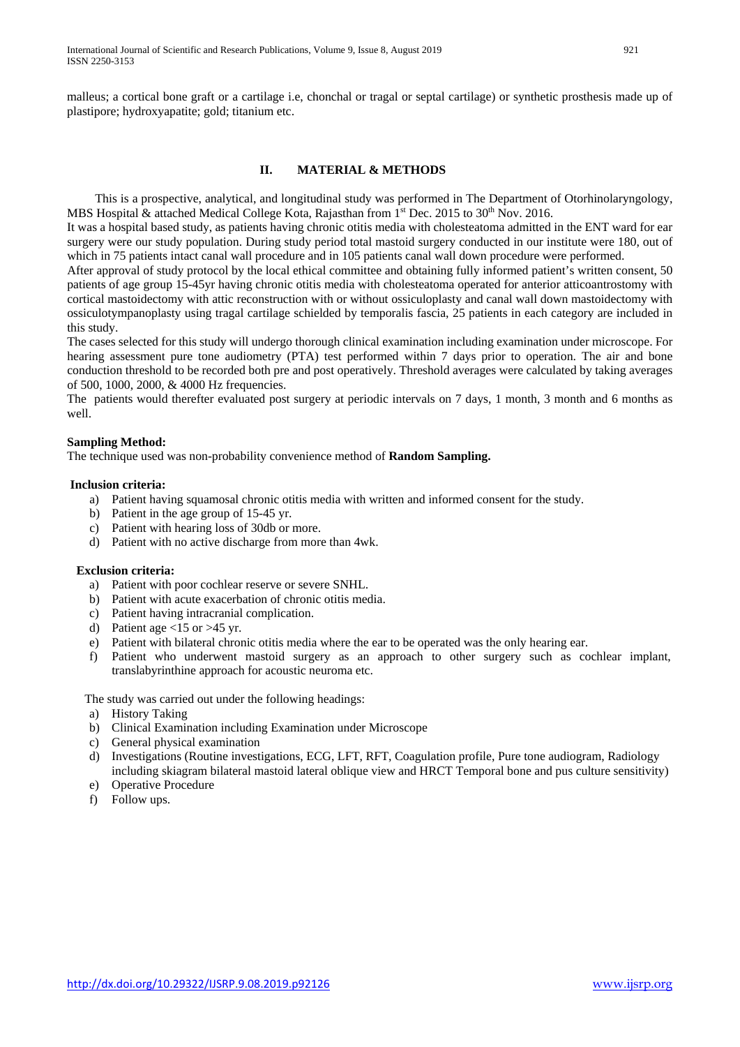## **II. MATERIAL & METHODS**

 This is a prospective, analytical, and longitudinal study was performed in The Department of Otorhinolaryngology, MBS Hospital & attached Medical College Kota, Rajasthan from 1<sup>st</sup> Dec. 2015 to 30<sup>th</sup> Nov. 2016.

It was a hospital based study, as patients having chronic otitis media with cholesteatoma admitted in the ENT ward for ear surgery were our study population. During study period total mastoid surgery conducted in our institute were 180, out of which in 75 patients intact canal wall procedure and in 105 patients canal wall down procedure were performed.

After approval of study protocol by the local ethical committee and obtaining fully informed patient's written consent, 50 patients of age group 15-45yr having chronic otitis media with cholesteatoma operated for anterior atticoantrostomy with cortical mastoidectomy with attic reconstruction with or without ossiculoplasty and canal wall down mastoidectomy with ossiculotympanoplasty using tragal cartilage schielded by temporalis fascia, 25 patients in each category are included in this study.

The cases selected for this study will undergo thorough clinical examination including examination under microscope. For hearing assessment pure tone audiometry (PTA) test performed within 7 days prior to operation. The air and bone conduction threshold to be recorded both pre and post operatively. Threshold averages were calculated by taking averages of 500, 1000, 2000, & 4000 Hz frequencies.

The patients would therefter evaluated post surgery at periodic intervals on 7 days, 1 month, 3 month and 6 months as well.

#### **Sampling Method:**

The technique used was non-probability convenience method of **Random Sampling.**

#### **Inclusion criteria:**

- a) Patient having squamosal chronic otitis media with written and informed consent for the study.
- b) Patient in the age group of 15-45 yr.
- c) Patient with hearing loss of 30db or more.
- d) Patient with no active discharge from more than 4wk.

#### **Exclusion criteria:**

- a) Patient with poor cochlear reserve or severe SNHL.
- b) Patient with acute exacerbation of chronic otitis media.
- c) Patient having intracranial complication.
- d) Patient age  $\langle 15 \text{ or } \rangle$  45 yr.
- e) Patient with bilateral chronic otitis media where the ear to be operated was the only hearing ear.
- f) Patient who underwent mastoid surgery as an approach to other surgery such as cochlear implant, translabyrinthine approach for acoustic neuroma etc.

The study was carried out under the following headings:

- a) History Taking
- b) Clinical Examination including Examination under Microscope
- c) General physical examination
- d) Investigations (Routine investigations, ECG, LFT, RFT, Coagulation profile, Pure tone audiogram, Radiology including skiagram bilateral mastoid lateral oblique view and HRCT Temporal bone and pus culture sensitivity)
- e) Operative Procedure
- f) Follow ups.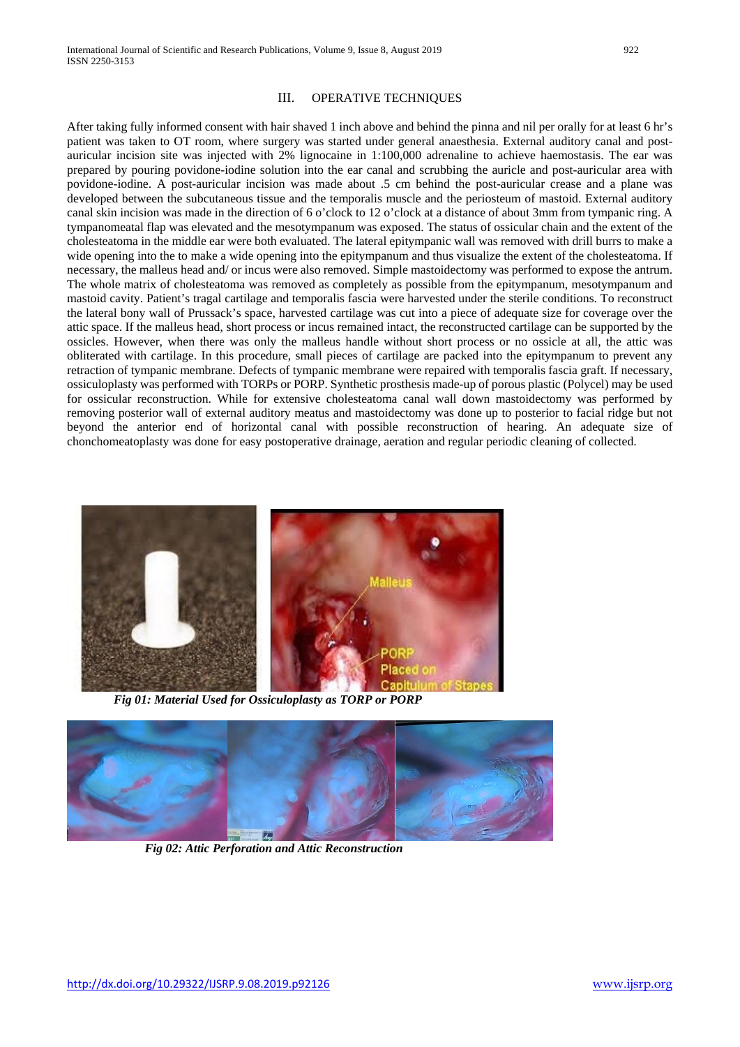#### III. OPERATIVE TECHNIQUES

After taking fully informed consent with hair shaved 1 inch above and behind the pinna and nil per orally for at least 6 hr's patient was taken to OT room, where surgery was started under general anaesthesia. External auditory canal and postauricular incision site was injected with 2% lignocaine in 1:100,000 adrenaline to achieve haemostasis. The ear was prepared by pouring povidone-iodine solution into the ear canal and scrubbing the auricle and post-auricular area with povidone-iodine. A post-auricular incision was made about .5 cm behind the post-auricular crease and a plane was developed between the subcutaneous tissue and the temporalis muscle and the periosteum of mastoid. External auditory canal skin incision was made in the direction of 6 o'clock to 12 o'clock at a distance of about 3mm from tympanic ring. A tympanomeatal flap was elevated and the mesotympanum was exposed. The status of ossicular chain and the extent of the cholesteatoma in the middle ear were both evaluated. The lateral epitympanic wall was removed with drill burrs to make a wide opening into the to make a wide opening into the epitympanum and thus visualize the extent of the cholesteatoma. If necessary, the malleus head and/ or incus were also removed. Simple mastoidectomy was performed to expose the antrum. The whole matrix of cholesteatoma was removed as completely as possible from the epitympanum, mesotympanum and mastoid cavity. Patient's tragal cartilage and temporalis fascia were harvested under the sterile conditions. To reconstruct the lateral bony wall of Prussack's space, harvested cartilage was cut into a piece of adequate size for coverage over the attic space. If the malleus head, short process or incus remained intact, the reconstructed cartilage can be supported by the ossicles. However, when there was only the malleus handle without short process or no ossicle at all, the attic was obliterated with cartilage. In this procedure, small pieces of cartilage are packed into the epitympanum to prevent any retraction of tympanic membrane. Defects of tympanic membrane were repaired with temporalis fascia graft. If necessary, ossiculoplasty was performed with TORPs or PORP. Synthetic prosthesis made-up of porous plastic (Polycel) may be used for ossicular reconstruction. While for extensive cholesteatoma canal wall down mastoidectomy was performed by removing posterior wall of external auditory meatus and mastoidectomy was done up to posterior to facial ridge but not beyond the anterior end of horizontal canal with possible reconstruction of hearing. An adequate size of chonchomeatoplasty was done for easy postoperative drainage, aeration and regular periodic cleaning of collected.



*Fig 01: Material Used for Ossiculoplasty as TORP or PORP*



 *Fig 02: Attic Perforation and Attic Reconstruction*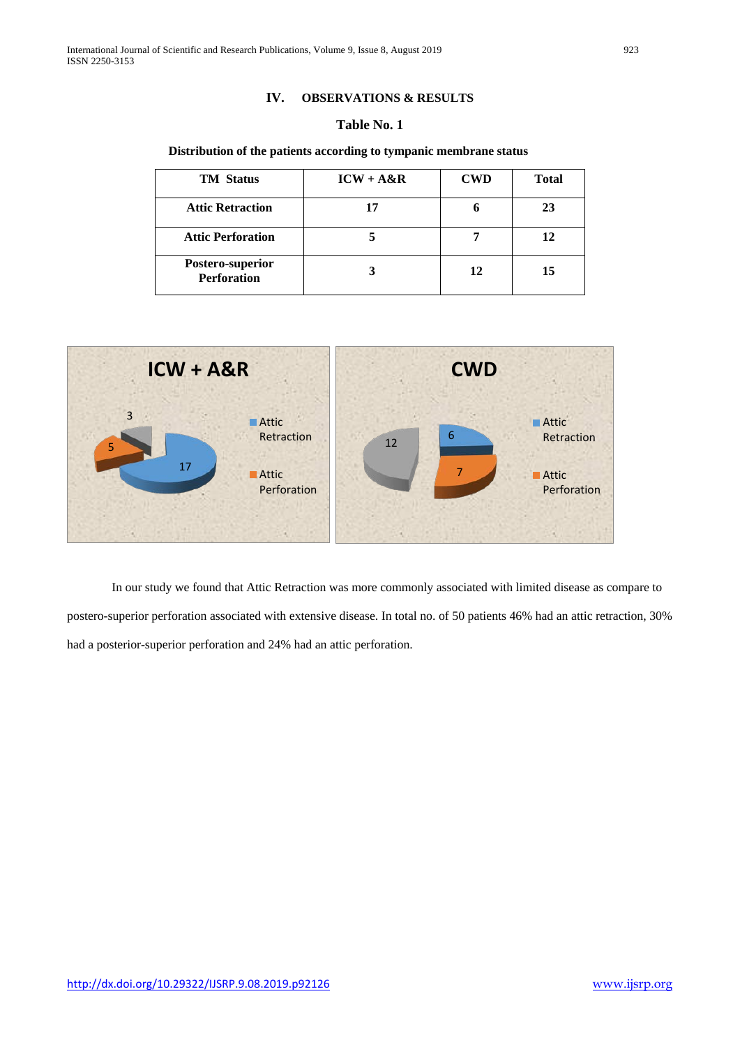#### **IV. OBSERVATIONS & RESULTS**

## **Table No. 1**

#### **Distribution of the patients according to tympanic membrane status**

| <b>TM</b> Status                       | $ICW + A&R$ | <b>CWD</b> | <b>Total</b> |
|----------------------------------------|-------------|------------|--------------|
| <b>Attic Retraction</b>                | 17          |            | 23           |
| <b>Attic Perforation</b>               |             |            | 12           |
| Postero-superior<br><b>Perforation</b> |             | 12         | 15           |



In our study we found that Attic Retraction was more commonly associated with limited disease as compare to postero-superior perforation associated with extensive disease. In total no. of 50 patients 46% had an attic retraction, 30% had a posterior-superior perforation and 24% had an attic perforation.

<http://dx.doi.org/10.29322/IJSRP.9.08.2019.p92126>[www.ijsrp.org](http://ijsrp.org/)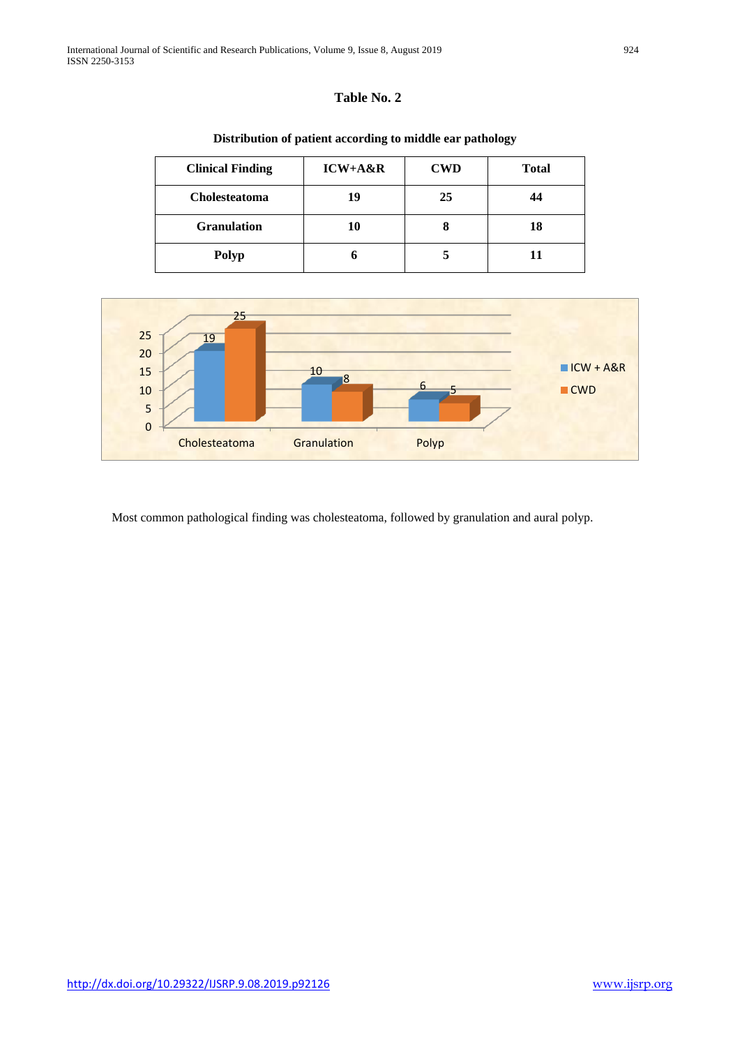| <b>Clinical Finding</b> | ICW+A&R | <b>CWD</b> | <b>Total</b> |
|-------------------------|---------|------------|--------------|
| Cholesteatoma           | 19      | 25         | 44           |
| <b>Granulation</b>      | 10      | O          | 18           |
| <b>Polyp</b>            |         |            | 11           |

## **Distribution of patient according to middle ear pathology**



Most common pathological finding was cholesteatoma, followed by granulation and aural polyp.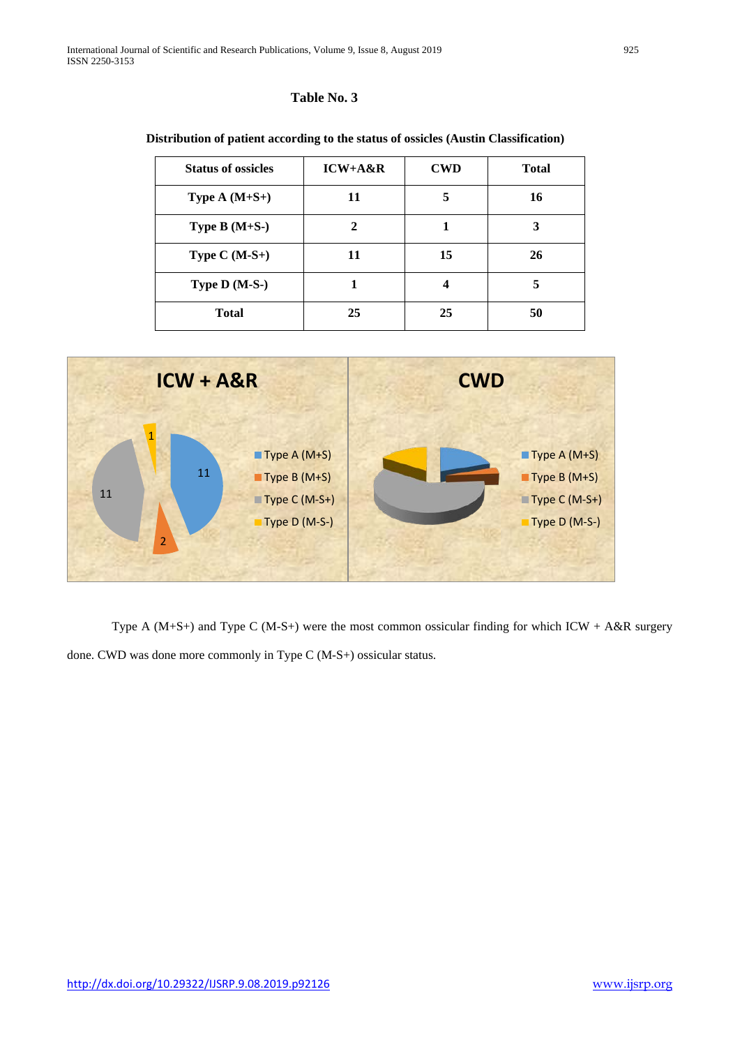| <b>Status of ossicles</b> | $ICW+A\&R$                  | <b>CWD</b> | <b>Total</b> |
|---------------------------|-----------------------------|------------|--------------|
| Type $A(M+S+)$            | 11                          | 5          | 16           |
| Type $B(M+S-)$            | $\mathcal{D}_{\mathcal{A}}$ |            | 3            |
| Type $C(M-S+)$            | 11                          | 15         | 26           |
| Type D (M-S-)             |                             | 4          | 5            |
| <b>Total</b>              | 25                          | 25         | 50           |

## **Distribution of patient according to the status of ossicles (Austin Classification)**



Type A ( $M+S+$ ) and Type C ( $M-S+$ ) were the most common ossicular finding for which ICW + A&R surgery done. CWD was done more commonly in Type C (M-S+) ossicular status.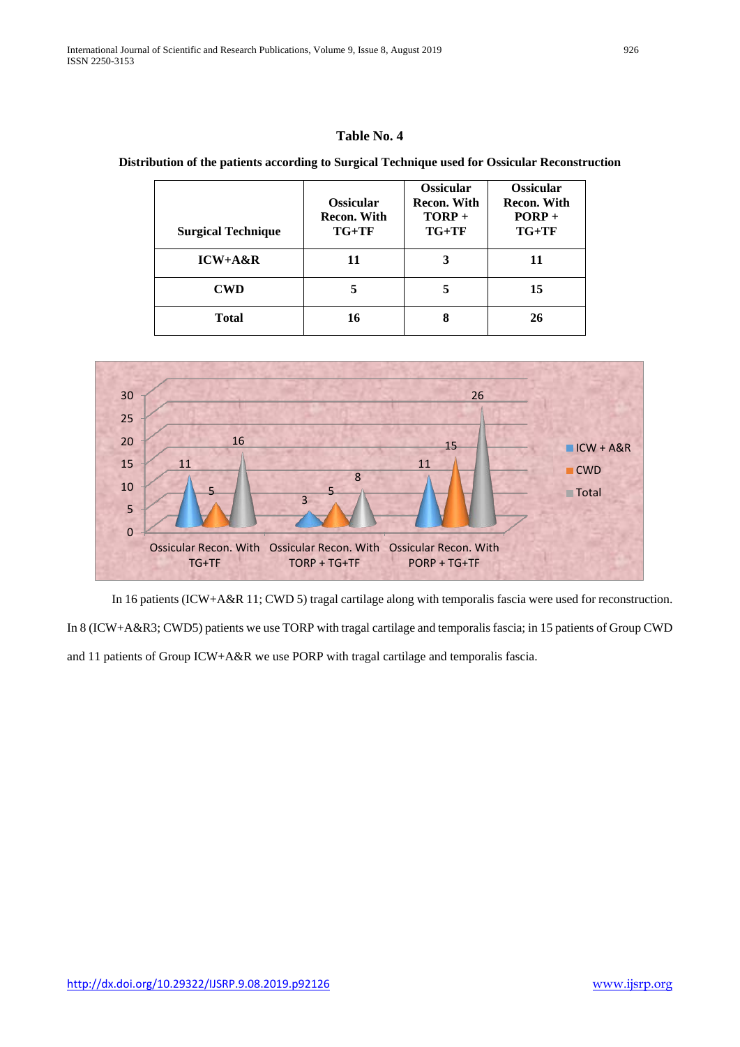#### **Distribution of the patients according to Surgical Technique used for Ossicular Reconstruction**

| <b>Surgical Technique</b> | <b>Ossicular</b><br><b>Recon. With</b><br>$TG+TF$ | <b>Ossicular</b><br>Recon. With<br>$TORP +$<br>$TG+TF$ | <b>Ossicular</b><br><b>Recon. With</b><br>$PORP +$<br>$TG+TF$ |
|---------------------------|---------------------------------------------------|--------------------------------------------------------|---------------------------------------------------------------|
| $ICW+A\&R$                | 11                                                | 3                                                      | 11                                                            |
| <b>CWD</b>                | 5                                                 | 5                                                      | 15                                                            |
| Total                     | 16                                                | 8                                                      | 26                                                            |



In 16 patients (ICW+A&R 11; CWD 5) tragal cartilage along with temporalis fascia were used for reconstruction.

In 8 (ICW+A&R3; CWD5) patients we use TORP with tragal cartilage and temporalis fascia; in 15 patients of Group CWD and 11 patients of Group ICW+A&R we use PORP with tragal cartilage and temporalis fascia.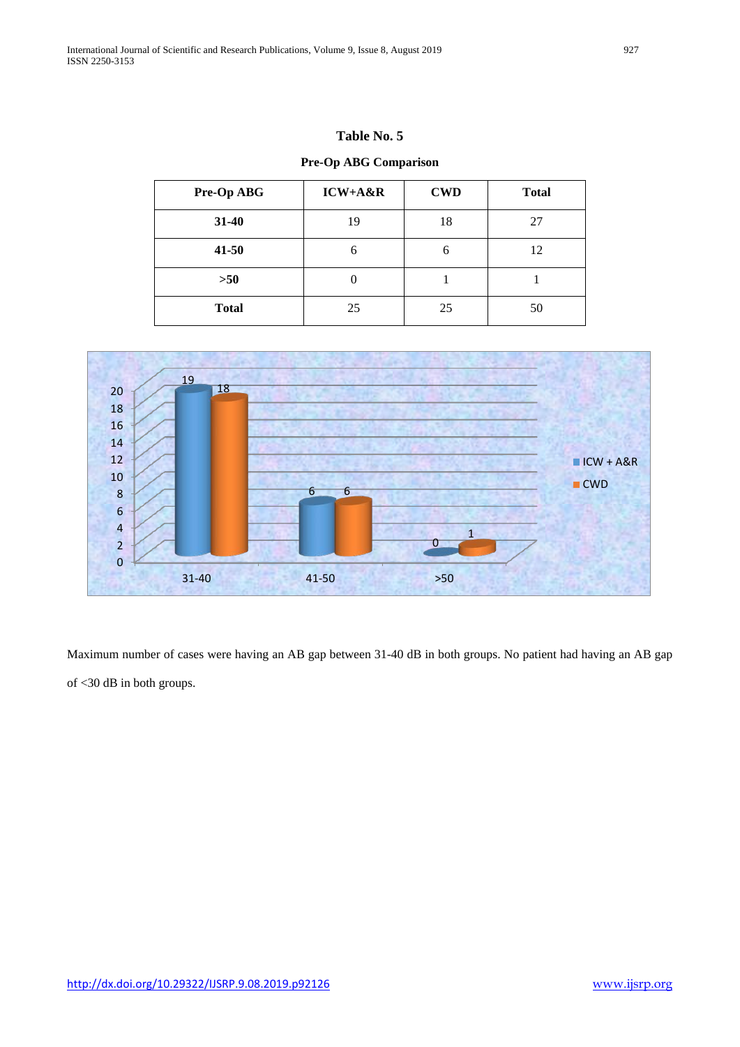**Pre-Op ABG Comparison** 

| Pre-Op ABG   | ICW+A&R  | <b>CWD</b> | <b>Total</b> |
|--------------|----------|------------|--------------|
| 31-40        | 19       | 18         | 27           |
| $41 - 50$    | 6        | 6          | 12           |
| >50          | $\theta$ |            |              |
| <b>Total</b> | 25       | 25         | 50           |



Maximum number of cases were having an AB gap between 31-40 dB in both groups. No patient had having an AB gap of <30 dB in both groups.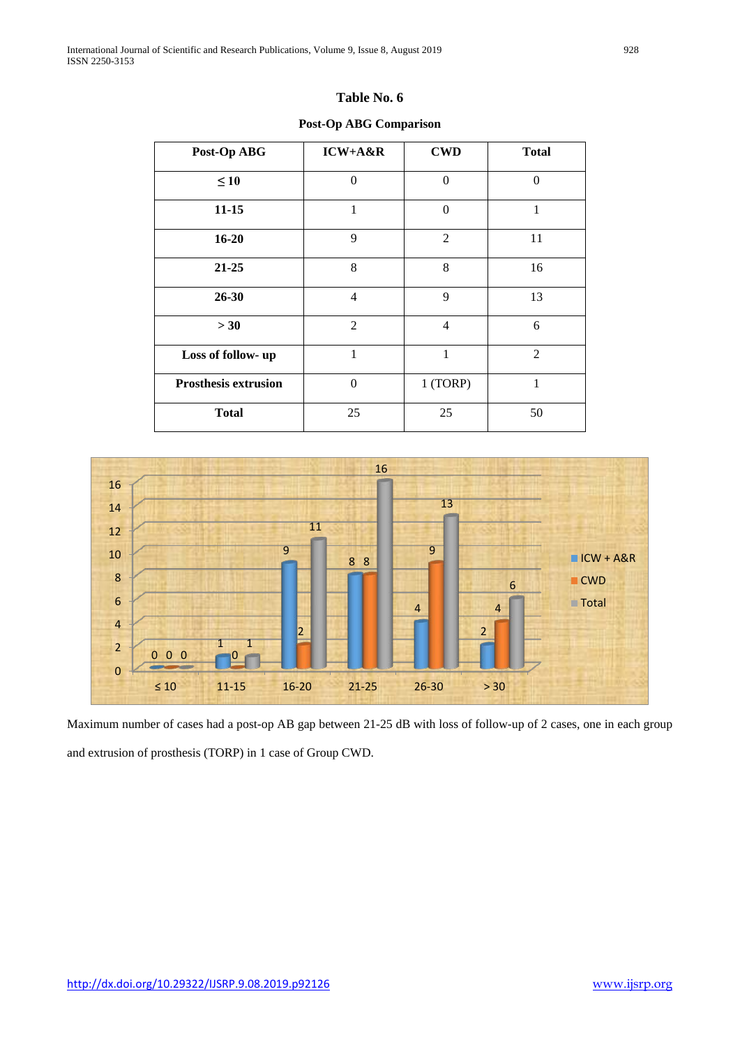**Post-Op ABG Comparison**

| Post-Op ABG                 | $ICW+A\&R$     | <b>CWD</b>     | <b>Total</b> |
|-----------------------------|----------------|----------------|--------------|
| $\leq 10$                   | $\theta$       | $\overline{0}$ | $\theta$     |
| $11 - 15$                   | $\mathbf{1}$   | $\theta$       | $\mathbf{1}$ |
| $16 - 20$                   | 9              | $\overline{2}$ | 11           |
| $21 - 25$                   | 8              | 8              | 16           |
| 26-30                       | $\overline{4}$ | 9              | 13           |
| > 30                        | $\overline{2}$ | $\overline{4}$ | 6            |
| Loss of follow- up          | $\mathbf{1}$   | 1              | 2            |
| <b>Prosthesis extrusion</b> | $\theta$       | 1 (TORP)       | 1            |
| <b>Total</b>                | 25             | 25             | 50           |



Maximum number of cases had a post-op AB gap between 21-25 dB with loss of follow-up of 2 cases, one in each group and extrusion of prosthesis (TORP) in 1 case of Group CWD.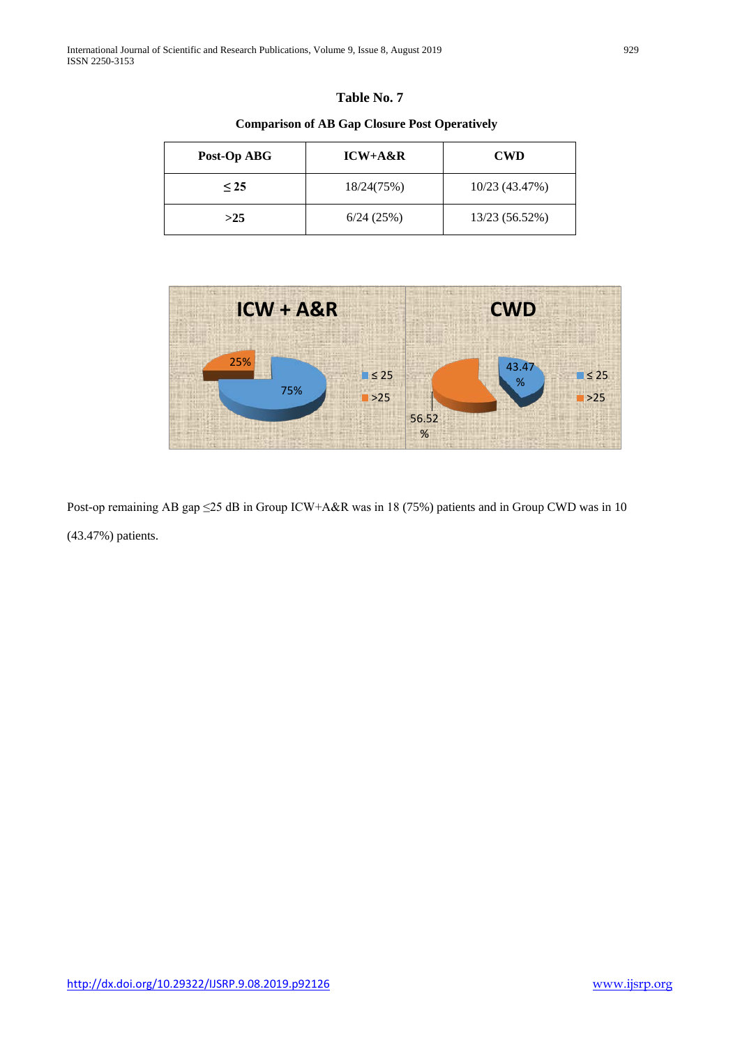| Table No. 7 |  |
|-------------|--|
|-------------|--|

**Comparison of AB Gap Closure Post Operatively** 

| Post-Op ABG | $ICW+A\&R$ | <b>CWD</b>     |
|-------------|------------|----------------|
| $\leq$ 25   | 18/24(75%) | 10/23 (43.47%) |
| >25         | 6/24(25%)  | 13/23 (56.52%) |



Post-op remaining AB gap ≤25 dB in Group ICW+A&R was in 18 (75%) patients and in Group CWD was in 10 (43.47%) patients.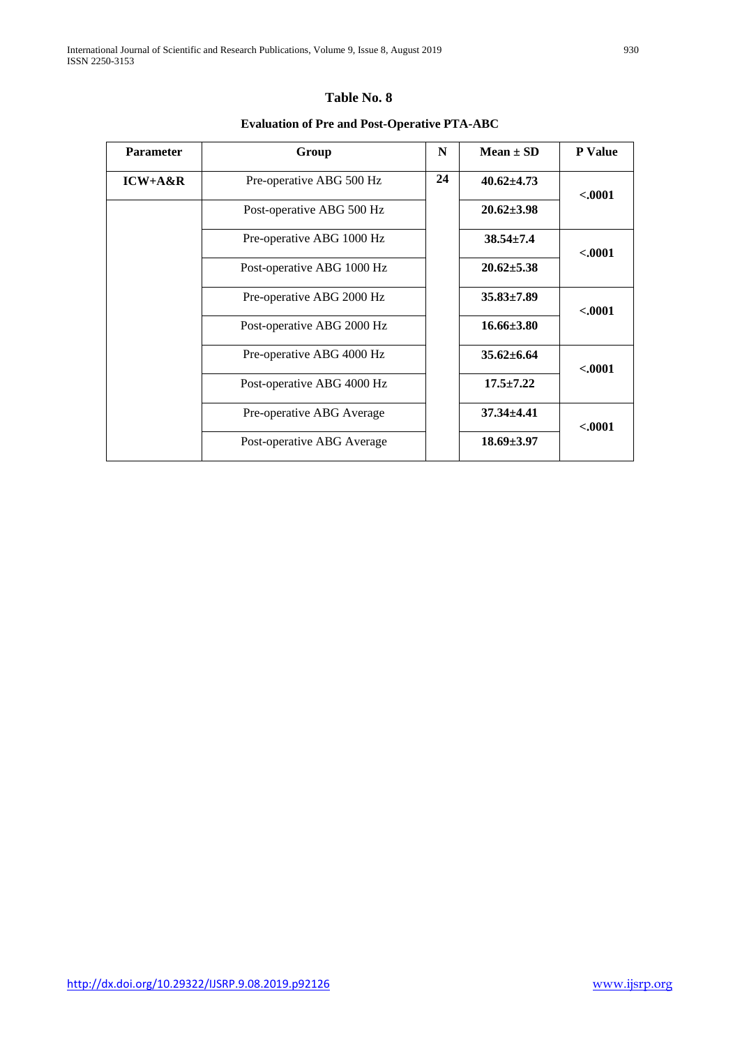# **Evaluation of Pre and Post-Operative PTA-ABC**

| Parameter  | Group                      | N  | $Mean \pm SD$    | <b>P</b> Value |
|------------|----------------------------|----|------------------|----------------|
| $ICW+A\&R$ | Pre-operative ABG 500 Hz   | 24 | $40.62 \pm 4.73$ | < .0001        |
|            | Post-operative ABG 500 Hz  |    | $20.62 \pm 3.98$ |                |
|            | Pre-operative ABG 1000 Hz  |    | $38.54 \pm 7.4$  | < .0001        |
|            | Post-operative ABG 1000 Hz |    | $20.62 \pm 5.38$ |                |
|            | Pre-operative ABG 2000 Hz  |    | $35.83 \pm 7.89$ | $-.0001$       |
|            | Post-operative ABG 2000 Hz |    | $16.66\pm3.80$   |                |
|            | Pre-operative ABG 4000 Hz  |    | $35.62 \pm 6.64$ | < .0001        |
|            | Post-operative ABG 4000 Hz |    | $17.5 \pm 7.22$  |                |
|            | Pre-operative ABG Average  |    | $37.34 \pm 4.41$ | $-.0001$       |
|            | Post-operative ABG Average |    | $18.69 \pm 3.97$ |                |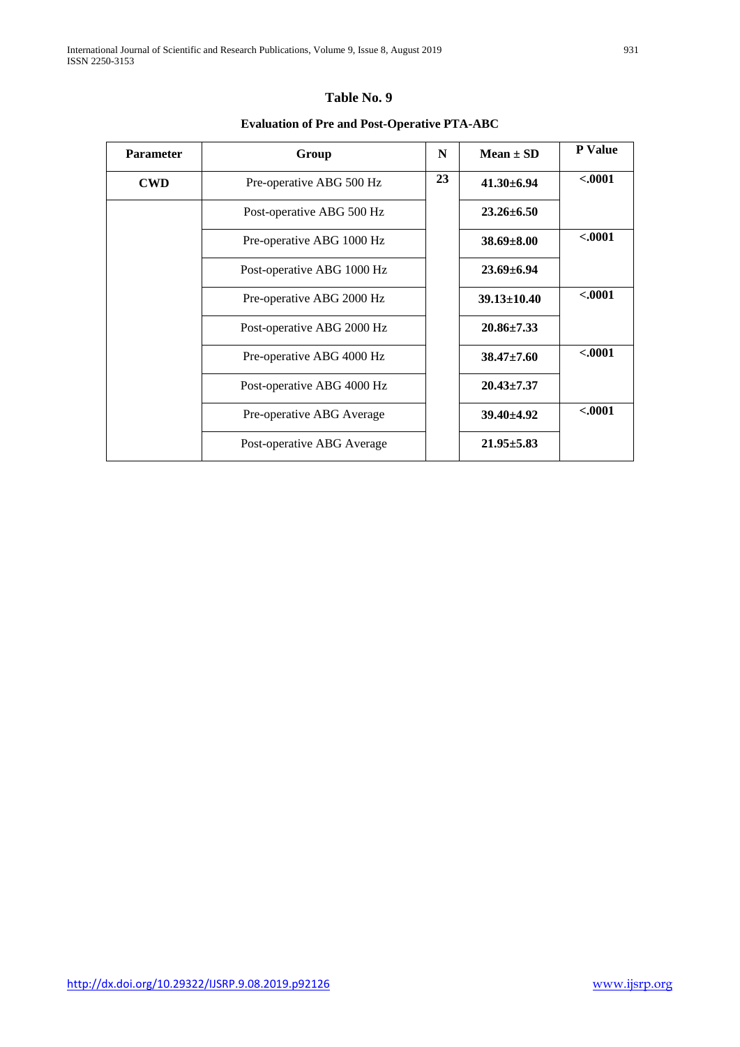# **Evaluation of Pre and Post-Operative PTA-ABC**

| <b>Parameter</b> | Group                      | N  | $Mean \pm SD$     | <b>P</b> Value |
|------------------|----------------------------|----|-------------------|----------------|
| <b>CWD</b>       | Pre-operative ABG 500 Hz   | 23 | $41.30\pm 6.94$   | < .0001        |
|                  | Post-operative ABG 500 Hz  |    | $23.26 \pm 6.50$  |                |
|                  | Pre-operative ABG 1000 Hz  |    | $38.69 \pm 8.00$  | $-.0001$       |
|                  | Post-operative ABG 1000 Hz |    | $23.69 \pm 6.94$  |                |
|                  | Pre-operative ABG 2000 Hz  |    | $39.13 \pm 10.40$ | $-.0001$       |
|                  | Post-operative ABG 2000 Hz |    | $20.86 \pm 7.33$  |                |
|                  | Pre-operative ABG 4000 Hz  |    | $38.47 \pm 7.60$  | $-.0001$       |
|                  | Post-operative ABG 4000 Hz |    | $20.43 \pm 7.37$  |                |
|                  | Pre-operative ABG Average  |    | $39.40 \pm 4.92$  | $-.0001$       |
|                  | Post-operative ABG Average |    | $21.95 \pm 5.83$  |                |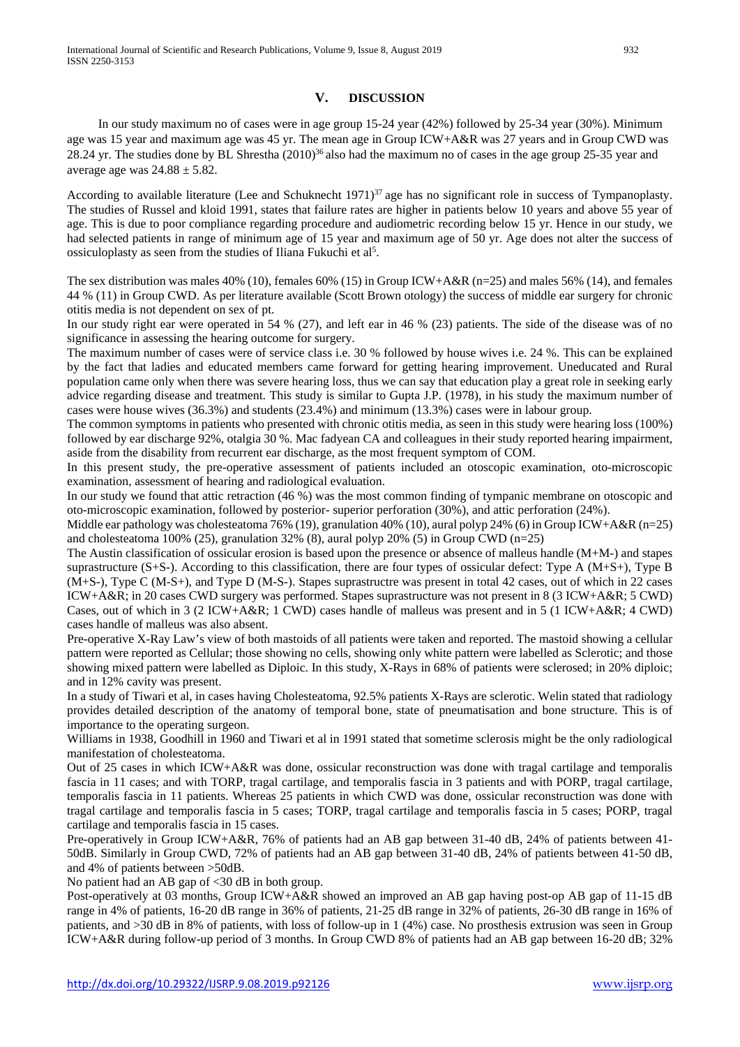#### **V. DISCUSSION**

 In our study maximum no of cases were in age group 15-24 year (42%) followed by 25-34 year (30%). Minimum age was 15 year and maximum age was 45 yr. The mean age in Group ICW+A&R was 27 years and in Group CWD was 28.24 yr. The studies done by BL Shrestha (2010)<sup>36</sup> also had the maximum no of cases in the age group 25-35 year and average age was  $24.88 \pm 5.82$ .

According to available literature (Lee and Schuknecht 1971)<sup>37</sup> age has no significant role in success of Tympanoplasty. The studies of Russel and kloid 1991, states that failure rates are higher in patients below 10 years and above 55 year of age. This is due to poor compliance regarding procedure and audiometric recording below 15 yr. Hence in our study, we had selected patients in range of minimum age of 15 year and maximum age of 50 yr. Age does not alter the success of ossiculoplasty as seen from the studies of Iliana Fukuchi et al<sup>5</sup>.

The sex distribution was males 40% (10), females  $60\%$  (15) in Group ICW+A&R (n=25) and males 56% (14), and females 44 % (11) in Group CWD. As per literature available (Scott Brown otology) the success of middle ear surgery for chronic otitis media is not dependent on sex of pt.

In our study right ear were operated in 54 % (27), and left ear in 46 % (23) patients. The side of the disease was of no significance in assessing the hearing outcome for surgery.

The maximum number of cases were of service class i.e. 30 % followed by house wives i.e. 24 %. This can be explained by the fact that ladies and educated members came forward for getting hearing improvement. Uneducated and Rural population came only when there was severe hearing loss, thus we can say that education play a great role in seeking early advice regarding disease and treatment. This study is similar to Gupta J.P. (1978), in his study the maximum number of cases were house wives (36.3%) and students (23.4%) and minimum (13.3%) cases were in labour group.

The common symptoms in patients who presented with chronic otitis media, as seen in this study were hearing loss (100%) followed by ear discharge 92%, otalgia 30 %. Mac fadyean CA and colleagues in their study reported hearing impairment, aside from the disability from recurrent ear discharge, as the most frequent symptom of COM.

In this present study, the pre-operative assessment of patients included an otoscopic examination, oto-microscopic examination, assessment of hearing and radiological evaluation.

In our study we found that attic retraction (46 %) was the most common finding of tympanic membrane on otoscopic and oto-microscopic examination, followed by posterior- superior perforation (30%), and attic perforation (24%).

Middle ear pathology was cholesteatoma 76% (19), granulation 40% (10), aural polyp 24% (6) in Group ICW+A&R (n=25) and cholesteatoma 100% (25), granulation 32% (8), aural polyp 20% (5) in Group CWD (n=25)

The Austin classification of ossicular erosion is based upon the presence or absence of malleus handle (M+M-) and stapes suprastructure  $(S+S)$ . According to this classification, there are four types of ossicular defect: Type A  $(M+S+)$ , Type B (M+S-), Type C (M-S+), and Type D (M-S-). Stapes suprastructre was present in total 42 cases, out of which in 22 cases ICW+A&R; in 20 cases CWD surgery was performed. Stapes suprastructure was not present in 8 (3 ICW+A&R; 5 CWD) Cases, out of which in 3 (2 ICW+A&R; 1 CWD) cases handle of malleus was present and in 5 (1 ICW+A&R; 4 CWD) cases handle of malleus was also absent.

Pre-operative X-Ray Law's view of both mastoids of all patients were taken and reported. The mastoid showing a cellular pattern were reported as Cellular; those showing no cells, showing only white pattern were labelled as Sclerotic; and those showing mixed pattern were labelled as Diploic. In this study, X-Rays in 68% of patients were sclerosed; in 20% diploic; and in 12% cavity was present.

In a study of Tiwari et al, in cases having Cholesteatoma, 92.5% patients X-Rays are sclerotic. Welin stated that radiology provides detailed description of the anatomy of temporal bone, state of pneumatisation and bone structure. This is of importance to the operating surgeon.

Williams in 1938, Goodhill in 1960 and Tiwari et al in 1991 stated that sometime sclerosis might be the only radiological manifestation of cholesteatoma.

Out of 25 cases in which ICW+A&R was done, ossicular reconstruction was done with tragal cartilage and temporalis fascia in 11 cases; and with TORP, tragal cartilage, and temporalis fascia in 3 patients and with PORP, tragal cartilage, temporalis fascia in 11 patients. Whereas 25 patients in which CWD was done, ossicular reconstruction was done with tragal cartilage and temporalis fascia in 5 cases; TORP, tragal cartilage and temporalis fascia in 5 cases; PORP, tragal cartilage and temporalis fascia in 15 cases.

Pre-operatively in Group ICW+A&R, 76% of patients had an AB gap between 31-40 dB, 24% of patients between 41- 50dB. Similarly in Group CWD, 72% of patients had an AB gap between 31-40 dB, 24% of patients between 41-50 dB, and 4% of patients between >50dB.

No patient had an AB gap of  $\leq$ 30 dB in both group.

Post-operatively at 03 months, Group ICW+A&R showed an improved an AB gap having post-op AB gap of 11-15 dB range in 4% of patients, 16-20 dB range in 36% of patients, 21-25 dB range in 32% of patients, 26-30 dB range in 16% of patients, and >30 dB in 8% of patients, with loss of follow-up in 1 (4%) case. No prosthesis extrusion was seen in Group ICW+A&R during follow-up period of 3 months. In Group CWD 8% of patients had an AB gap between 16-20 dB; 32%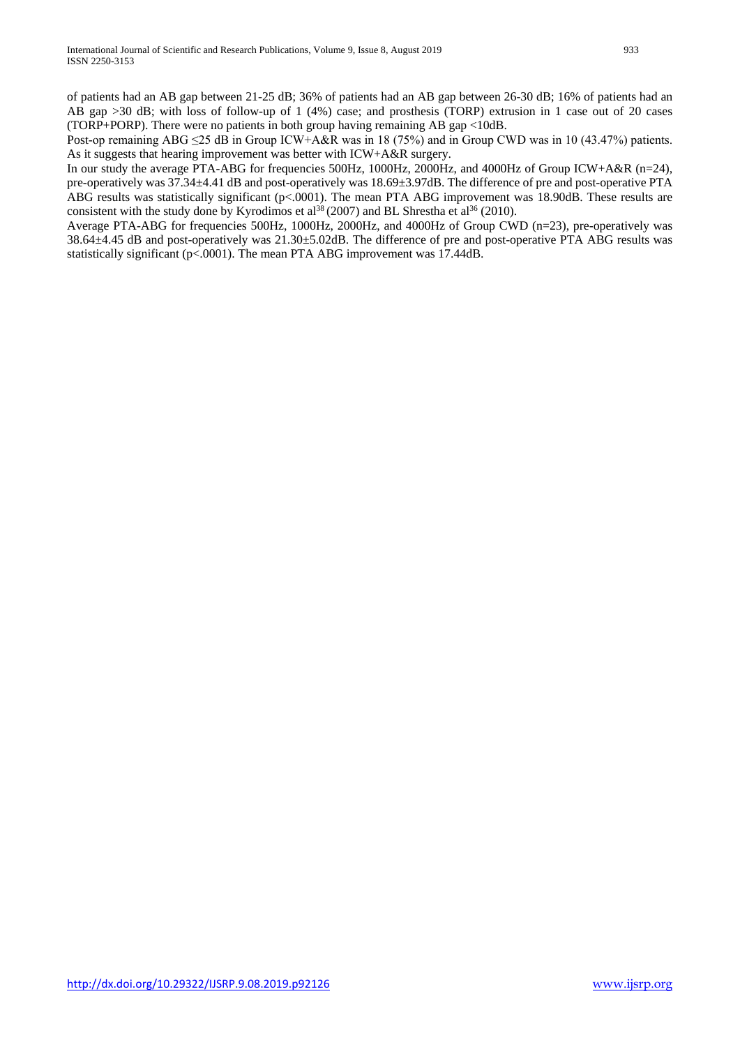of patients had an AB gap between 21-25 dB; 36% of patients had an AB gap between 26-30 dB; 16% of patients had an AB gap >30 dB; with loss of follow-up of 1 (4%) case; and prosthesis (TORP) extrusion in 1 case out of 20 cases (TORP+PORP). There were no patients in both group having remaining AB gap <10dB.

Post-op remaining ABG  $\leq$ 25 dB in Group ICW+A&R was in 18 (75%) and in Group CWD was in 10 (43.47%) patients. As it suggests that hearing improvement was better with ICW+A&R surgery.

In our study the average PTA-ABG for frequencies 500Hz, 1000Hz, 2000Hz, and 4000Hz of Group ICW+A&R (n=24), pre-operatively was 37.34±4.41 dB and post-operatively was 18.69±3.97dB. The difference of pre and post-operative PTA ABG results was statistically significant (p<.0001). The mean PTA ABG improvement was 18.90dB. These results are consistent with the study done by Kyrodimos et al<sup>38</sup> (2007) and BL Shrestha et al<sup>36</sup> (2010).

Average PTA-ABG for frequencies 500Hz, 1000Hz, 2000Hz, and 4000Hz of Group CWD (n=23), pre-operatively was 38.64±4.45 dB and post-operatively was 21.30±5.02dB. The difference of pre and post-operative PTA ABG results was statistically significant (p<.0001). The mean PTA ABG improvement was 17.44dB.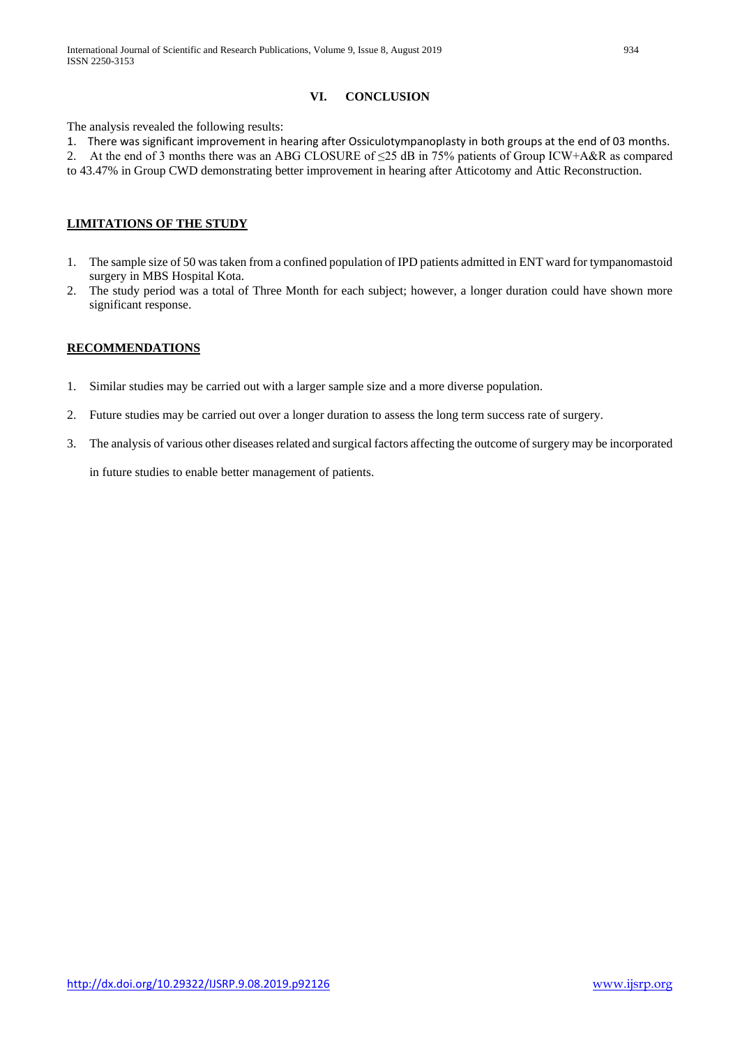## **VI. CONCLUSION**

The analysis revealed the following results:

1. There was significant improvement in hearing after Ossiculotympanoplasty in both groups at the end of 03 months. 2. At the end of 3 months there was an ABG CLOSURE of ≤25 dB in 75% patients of Group ICW+A&R as compared to 43.47% in Group CWD demonstrating better improvement in hearing after Atticotomy and Attic Reconstruction.

## **LIMITATIONS OF THE STUDY**

- 1. The sample size of 50 was taken from a confined population of IPD patients admitted in ENT ward for tympanomastoid surgery in MBS Hospital Kota.
- 2. The study period was a total of Three Month for each subject; however, a longer duration could have shown more significant response.

## **RECOMMENDATIONS**

- 1. Similar studies may be carried out with a larger sample size and a more diverse population.
- 2. Future studies may be carried out over a longer duration to assess the long term success rate of surgery.
- 3. The analysis of various other diseases related and surgical factors affecting the outcome of surgery may be incorporated

in future studies to enable better management of patients.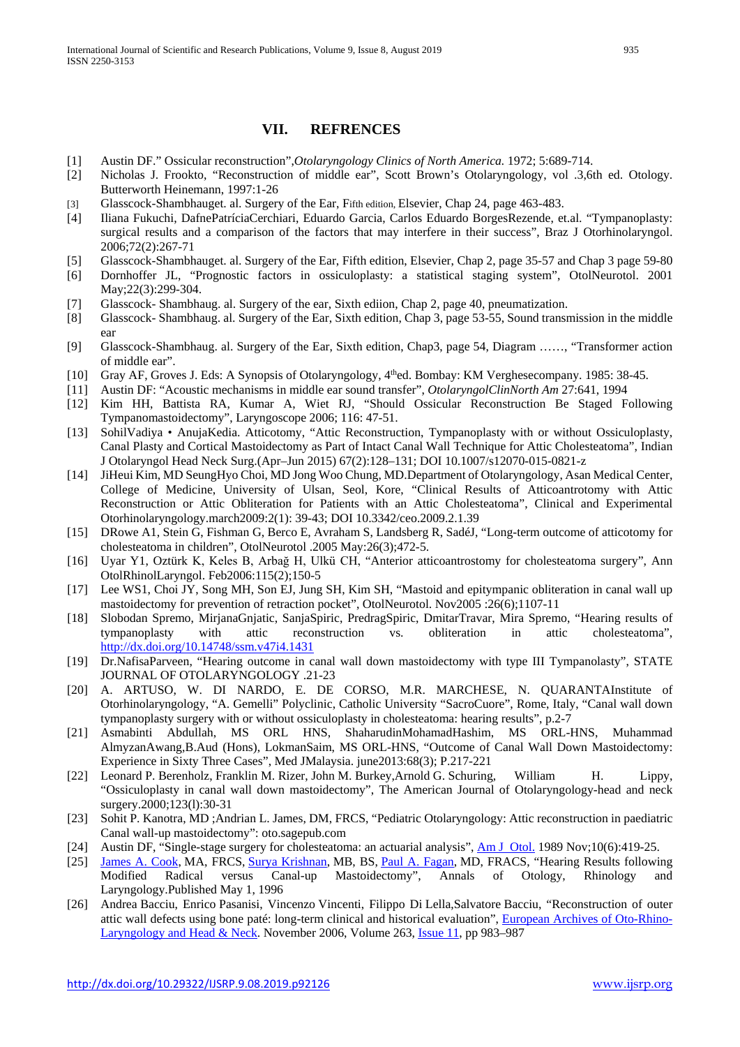# **VII. REFRENCES**

- [1] Austin DF." Ossicular reconstruction",*Otolaryngology Clinics of North America.* 1972; 5:689-714.
- [2] Nicholas J. Frookto, "Reconstruction of middle ear", Scott Brown's Otolaryngology, vol .3,6th ed. Otology. Butterworth Heinemann, 1997:1-26
- [3] Glasscock-Shambhauget. al. Surgery of the Ear, Fifth edition, Elsevier, Chap 24, page 463-483.
- [4] Iliana Fukuchi, DafnePatríciaCerchiari, Eduardo Garcia, Carlos Eduardo BorgesRezende, et.al. "Tympanoplasty: surgical results and a comparison of the factors that may interfere in their success", Braz J Otorhinolaryngol. 2006;72(2):267-71
- [5] Glasscock-Shambhauget. al. Surgery of the Ear, Fifth edition, Elsevier, Chap 2, page 35-57 and Chap 3 page 59-80
- [6] Dornhoffer JL, "Prognostic factors in ossiculoplasty: a statistical staging system", OtolNeurotol. 2001 May;22(3):299-304.
- [7] Glasscock- Shambhaug. al. Surgery of the ear, Sixth ediion, Chap 2, page 40, pneumatization.
- [8] Glasscock- Shambhaug. al. Surgery of the Ear, Sixth edition, Chap 3, page 53-55, Sound transmission in the middle ear
- [9] Glasscock-Shambhaug. al. Surgery of the Ear, Sixth edition, Chap3, page 54, Diagram ……, "Transformer action of middle ear".
- [10] Gray AF, Groves J. Eds: A Synopsis of Otolaryngology, 4<sup>th</sup>ed. Bombay: KM Verghesecompany. 1985: 38-45.
- [11] Austin DF: "Acoustic mechanisms in middle ear sound transfer", *OtolaryngolClinNorth Am* 27:641, 1994
- [12] Kim HH, Battista RA, Kumar A, Wiet RJ, "Should Ossicular Reconstruction Be Staged Following Tympanomastoidectomy", Laryngoscope 2006; 116: 47-51.
- [13] SohilVadiya AnujaKedia. Atticotomy, "Attic Reconstruction, Tympanoplasty with or without Ossiculoplasty, Canal Plasty and Cortical Mastoidectomy as Part of Intact Canal Wall Technique for Attic Cholesteatoma", Indian J Otolaryngol Head Neck Surg.(Apr–Jun 2015) 67(2):128–131; DOI 10.1007/s12070-015-0821-z
- [14] JiHeui Kim, MD SeungHyo Choi, MD Jong Woo Chung, MD.Department of Otolaryngology, Asan Medical Center, College of Medicine, University of Ulsan, Seol, Kore, "Clinical Results of Atticoantrotomy with Attic Reconstruction or Attic Obliteration for Patients with an Attic Cholesteatoma", Clinical and Experimental Otorhinolaryngology.march2009:2(1): 39-43; DOI 10.3342/ceo.2009.2.1.39
- [15] DRowe A1, Stein G, Fishman G, Berco E, Avraham S, Landsberg R, SadéJ, "Long-term outcome of atticotomy for cholesteatoma in children", OtolNeurotol .2005 May:26(3);472-5.
- [16] Uyar Y1, Oztürk K, Keles B, Arbağ H, Ulkü CH, "Anterior atticoantrostomy for cholesteatoma surgery", Ann OtolRhinolLaryngol. Feb2006:115(2);150-5
- [17] Lee WS1, Choi JY, Song MH, Son EJ, Jung SH, Kim SH, "Mastoid and epitympanic obliteration in canal wall up mastoidectomy for prevention of retraction pocket", OtolNeurotol. Nov2005 :26(6);1107-11
- [18] Slobodan Spremo, MirjanaGnjatic, SanjaSpiric, PredragSpiric, DmitarTravar, Mira Spremo, "Hearing results of tympanoplasty with attic reconstruction vs. obliteration in attic cholesteatoma", <http://dx.doi.org/10.14748/ssm.v47i4.1431>
- [19] Dr.NafisaParveen, "Hearing outcome in canal wall down mastoidectomy with type III Tympanolasty", STATE JOURNAL OF OTOLARYNGOLOGY .21-23
- [20] A. ARTUSO, W. DI NARDO, E. DE CORSO, M.R. MARCHESE, N. QUARANTAInstitute of Otorhinolaryngology, "A. Gemelli" Polyclinic, Catholic University "SacroCuore", Rome, Italy, "Canal wall down tympanoplasty surgery with or without ossiculoplasty in cholesteatoma: hearing results", p.2-7
- [21] Asmabinti Abdullah, MS ORL HNS, ShaharudinMohamadHashim, MS ORL-HNS, Muhammad AlmyzanAwang,B.Aud (Hons), LokmanSaim, MS ORL-HNS, "Outcome of Canal Wall Down Mastoidectomy: Experience in Sixty Three Cases", Med JMalaysia. june2013:68(3); P.217-221
- [22] Leonard P. Berenholz, Franklin M. Rizer, John M. Burkey,Arnold G. Schuring, William H. Lippy, "Ossiculoplasty in canal wall down mastoidectomy", The American Journal of Otolaryngology-head and neck surgery.2000;123(l):30-31
- [23] Sohit P. Kanotra, MD ;Andrian L. James, DM, FRCS, "Pediatric Otolaryngology: Attic reconstruction in paediatric Canal wall-up mastoidectomy": oto.sagepub.com
- [24] Austin DF, "Single-stage surgery for cholesteatoma: an actuarial analysis", [Am J Otol.](https://www.ncbi.nlm.nih.gov/pubmed/2610228) 1989 Nov;10(6):419-25.
- [25] [James A. Cook,](http://journals.sagepub.com/author/Cook,+James+A) MA, FRCS, [Surya Krishnan,](http://journals.sagepub.com/author/Krishnan,+Surya) MB, BS, [Paul A. Fagan,](http://journals.sagepub.com/author/Fagan,+Paul+A) MD, FRACS, "Hearing Results following Modified Radical versus Canal-up Mastoidectomy", Annals of Otology, Rhinology Laryngology.Published May 1, 1996
- [26] Andrea Bacciu, Enrico Pasanisi, Vincenzo Vincenti, Filippo Di Lella,Salvatore Bacciu, "Reconstruction of outer attic wall defects using bone paté: long-term clinical and historical evaluation", [European Archives of Oto-Rhino-](https://link.springer.com/journal/405)[Laryngology](https://link.springer.com/journal/405) [and Head & Neck.](https://link.springer.com/journal/405) November 2006, Volume 263, [Issue](https://link.springer.com/journal/405/263/11/page/1) 11, pp 983–987